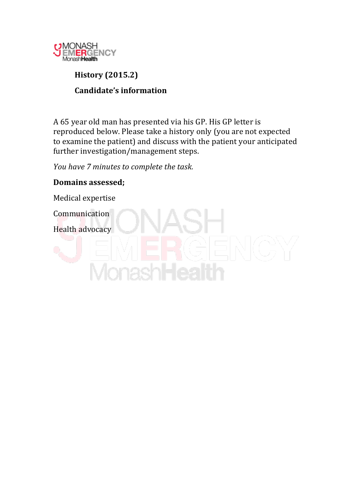

# **History!(2015.2) Candidate's information**

A 65 year old man has presented via his GP. His GP letter is reproduced below. Please take a history only (you are not expected to examine the patient) and discuss with the patient your anticipated further investigation/management steps.

*You have 7 minutes to complete the task.* 

# **Domains!assessed;**

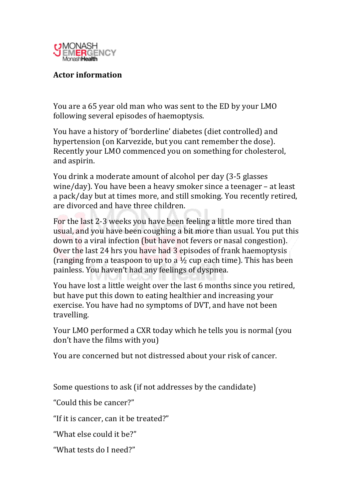

## **Actor!information**

You are a 65 year old man who was sent to the ED by your LMO following several episodes of haemoptysis.

You have a history of 'borderline' diabetes (diet controlled) and hypertension (on Karvezide, but you cant remember the dose). Recently your LMO commenced you on something for cholesterol, and aspirin.

You drink a moderate amount of alcohol per day (3-5 glasses wine/day). You have been a heavy smoker since a teenager – at least a pack/day but at times more, and still smoking. You recently retired, are divorced and have three children.

For the last 2-3 weeks you have been feeling a little more tired than usual, and you have been coughing a bit more than usual. You put this down to a viral infection (but have not fevers or nasal congestion). Over the last 24 hrs you have had 3 episodes of frank haemoptysis (ranging from a teaspoon to up to a  $\frac{1}{2}$  cup each time). This has been painless. You haven't had any feelings of dyspnea.

You have lost a little weight over the last 6 months since you retired, but have put this down to eating healthier and increasing your exercise. You have had no symptoms of DVT, and have not been travelling.

Your LMO performed a CXR today which he tells you is normal (you don't have the films with you)

You are concerned but not distressed about your risk of cancer.

Some questions to ask (if not addresses by the candidate)

"Could this be cancer?"

"If it is cancer, can it be treated?"

"What else could it be?"

"What tests do I need?"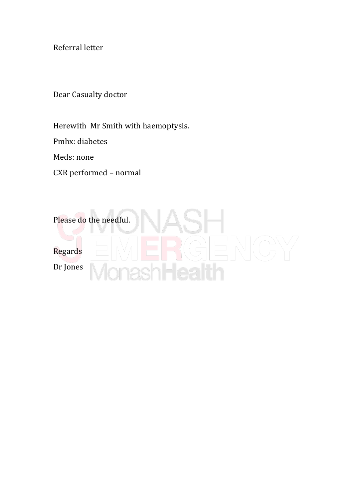Referral letter

Dear Casualty doctor

Herewith Mr Smith with haemoptysis.

Pmhx: diabetes

Meds: none

CXR performed - normal

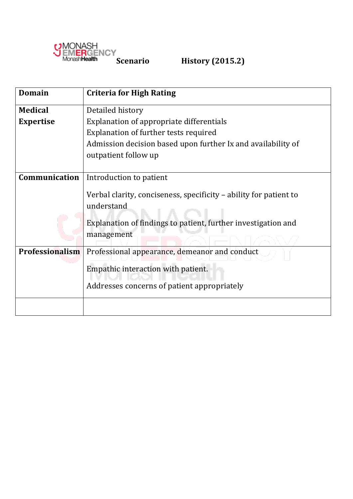

| <b>Domain</b>          | <b>Criteria for High Rating</b>                                                 |  |  |  |  |  |  |  |
|------------------------|---------------------------------------------------------------------------------|--|--|--|--|--|--|--|
| <b>Medical</b>         | Detailed history                                                                |  |  |  |  |  |  |  |
| <b>Expertise</b>       | Explanation of appropriate differentials                                        |  |  |  |  |  |  |  |
|                        | Explanation of further tests required                                           |  |  |  |  |  |  |  |
|                        | Admission decision based upon further Ix and availability of                    |  |  |  |  |  |  |  |
|                        | outpatient follow up                                                            |  |  |  |  |  |  |  |
|                        |                                                                                 |  |  |  |  |  |  |  |
| Communication          | Introduction to patient                                                         |  |  |  |  |  |  |  |
|                        | Verbal clarity, conciseness, specificity – ability for patient to<br>understand |  |  |  |  |  |  |  |
|                        | Explanation of findings to patient, further investigation and<br>management     |  |  |  |  |  |  |  |
| <b>Professionalism</b> | Professional appearance, demeanor and conduct                                   |  |  |  |  |  |  |  |
|                        | Empathic interaction with patient.                                              |  |  |  |  |  |  |  |
|                        | Addresses concerns of patient appropriately                                     |  |  |  |  |  |  |  |
|                        |                                                                                 |  |  |  |  |  |  |  |